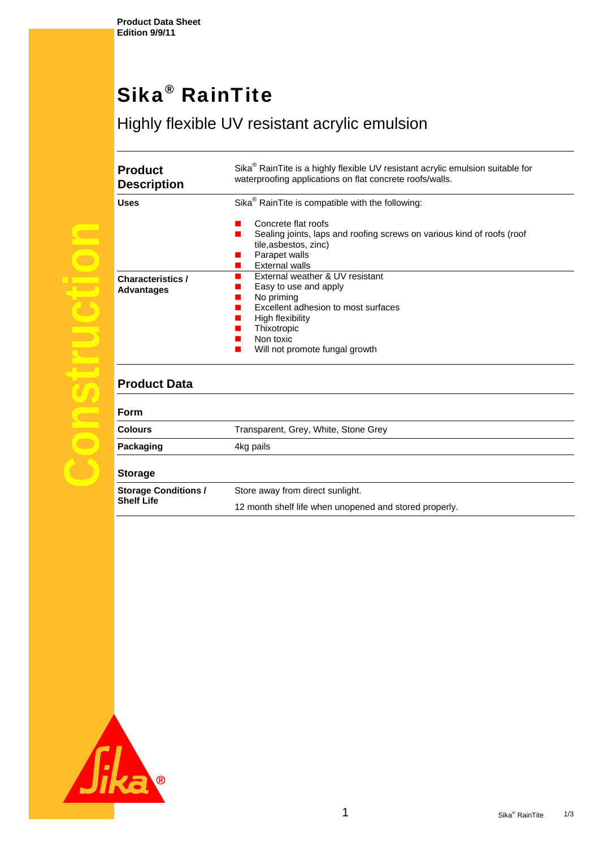**Product Data Sheet Edition 9/9/11** 

## Sika® RainTite

## Highly flexible UV resistant acrylic emulsion

| riuuut<br><b>Description</b>                  |
|-----------------------------------------------|
| Uses                                          |
|                                               |
| <b>Characteristics /</b><br><b>Advantages</b> |
|                                               |
|                                               |
|                                               |
| <b>Product Data</b>                           |
| Form                                          |
| <b>Colours</b>                                |
| Packaging                                     |
| <b>Storage</b>                                |
|                                               |

| <b>Product</b><br><b>Description</b> | Sika <sup>®</sup> RainTite is a highly flexible UV resistant acrylic emulsion suitable for<br>waterproofing applications on flat concrete roofs/walls.                                          |
|--------------------------------------|-------------------------------------------------------------------------------------------------------------------------------------------------------------------------------------------------|
| Uses                                 | Sika <sup>®</sup> RainTite is compatible with the following:                                                                                                                                    |
|                                      | Concrete flat roofs<br>Sealing joints, laps and roofing screws on various kind of roofs (roof<br>tile, as bestos, zinc)<br>Parapet walls<br>External walls                                      |
| Characteristics /<br>Advantages      | External weather & UV resistant<br>Easy to use and apply<br>No priming<br>Excellent adhesion to most surfaces<br>High flexibility<br>Thixotropic<br>Non toxic<br>Will not promote fungal growth |

| <b>Form</b>                                      |                                                        |  |
|--------------------------------------------------|--------------------------------------------------------|--|
| <b>Colours</b>                                   | Transparent, Grey, White, Stone Grey                   |  |
| Packaging                                        | 4kg pails                                              |  |
| <b>Storage</b>                                   |                                                        |  |
| <b>Storage Conditions /</b><br><b>Shelf Life</b> | Store away from direct sunlight.                       |  |
|                                                  | 12 month shelf life when unopened and stored properly. |  |

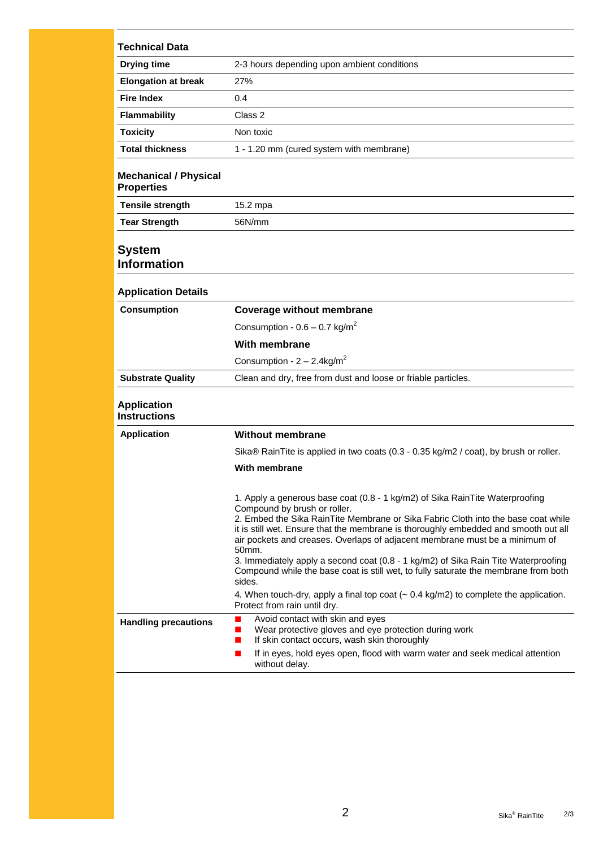| <b>Drying time</b><br><b>Elongation at break</b><br><b>Fire Index</b><br><b>Flammability</b><br><b>Toxicity</b> | 2-3 hours depending upon ambient conditions<br>27%<br>0.4<br>Class 2<br>Non toxic<br>1 - 1.20 mm (cured system with membrane)                                                                                                                                                                                                                                                                                                                                          |
|-----------------------------------------------------------------------------------------------------------------|------------------------------------------------------------------------------------------------------------------------------------------------------------------------------------------------------------------------------------------------------------------------------------------------------------------------------------------------------------------------------------------------------------------------------------------------------------------------|
|                                                                                                                 |                                                                                                                                                                                                                                                                                                                                                                                                                                                                        |
|                                                                                                                 |                                                                                                                                                                                                                                                                                                                                                                                                                                                                        |
|                                                                                                                 |                                                                                                                                                                                                                                                                                                                                                                                                                                                                        |
|                                                                                                                 |                                                                                                                                                                                                                                                                                                                                                                                                                                                                        |
|                                                                                                                 |                                                                                                                                                                                                                                                                                                                                                                                                                                                                        |
| <b>Total thickness</b>                                                                                          |                                                                                                                                                                                                                                                                                                                                                                                                                                                                        |
| <b>Mechanical / Physical</b><br><b>Properties</b>                                                               |                                                                                                                                                                                                                                                                                                                                                                                                                                                                        |
| <b>Tensile strength</b>                                                                                         | 15.2 mpa                                                                                                                                                                                                                                                                                                                                                                                                                                                               |
| <b>Tear Strength</b>                                                                                            | 56N/mm                                                                                                                                                                                                                                                                                                                                                                                                                                                                 |
| <b>System</b><br><b>Information</b>                                                                             |                                                                                                                                                                                                                                                                                                                                                                                                                                                                        |
| <b>Application Details</b>                                                                                      |                                                                                                                                                                                                                                                                                                                                                                                                                                                                        |
| <b>Consumption</b>                                                                                              | <b>Coverage without membrane</b>                                                                                                                                                                                                                                                                                                                                                                                                                                       |
|                                                                                                                 | Consumption - $0.6 - 0.7$ kg/m <sup>2</sup>                                                                                                                                                                                                                                                                                                                                                                                                                            |
|                                                                                                                 | With membrane                                                                                                                                                                                                                                                                                                                                                                                                                                                          |
|                                                                                                                 | Consumption - $2 - 2.4$ kg/m <sup>2</sup>                                                                                                                                                                                                                                                                                                                                                                                                                              |
| <b>Substrate Quality</b>                                                                                        | Clean and dry, free from dust and loose or friable particles.                                                                                                                                                                                                                                                                                                                                                                                                          |
| <b>Application</b><br><b>Instructions</b>                                                                       |                                                                                                                                                                                                                                                                                                                                                                                                                                                                        |
| <b>Application</b>                                                                                              | <b>Without membrane</b>                                                                                                                                                                                                                                                                                                                                                                                                                                                |
|                                                                                                                 | Sika® RainTite is applied in two coats (0.3 - 0.35 kg/m2 / coat), by brush or roller.                                                                                                                                                                                                                                                                                                                                                                                  |
|                                                                                                                 | With membrane                                                                                                                                                                                                                                                                                                                                                                                                                                                          |
|                                                                                                                 | 1. Apply a generous base coat (0.8 - 1 kg/m2) of Sika RainTite Waterproofing<br>Compound by brush or roller.<br>2. Embed the Sika RainTite Membrane or Sika Fabric Cloth into the base coat while<br>it is still wet. Ensure that the membrane is thoroughly embedded and smooth out all<br>air pockets and creases. Overlaps of adjacent membrane must be a minimum of<br>50mm.<br>3. Immediately apply a second coat (0.8 - 1 kg/m2) of Sika Rain Tite Waterproofing |
|                                                                                                                 | Compound while the base coat is still wet, to fully saturate the membrane from both<br>sides.<br>4. When touch-dry, apply a final top coat $(-0.4 \text{ kg/m2})$ to complete the application.<br>Protect from rain until dry.                                                                                                                                                                                                                                         |
| <b>Handling precautions</b>                                                                                     | Avoid contact with skin and eyes<br>П<br>Wear protective gloves and eye protection during work<br>ш<br>If skin contact occurs, wash skin thoroughly<br>ш<br>If in eyes, hold eyes open, flood with warm water and seek medical attention<br>П<br>without delay.                                                                                                                                                                                                        |